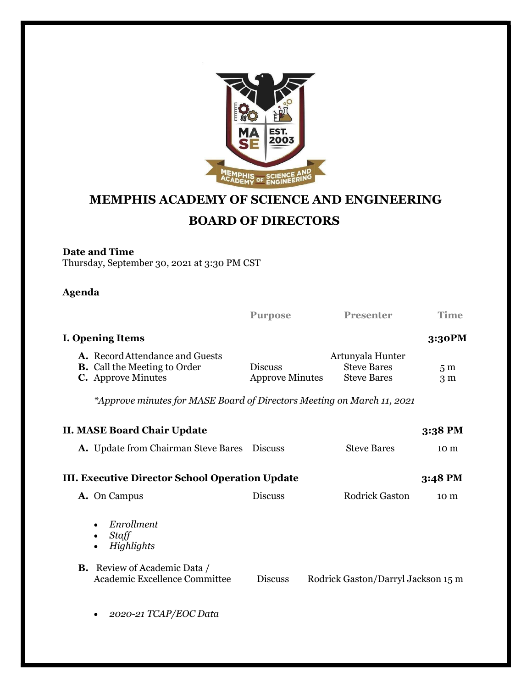

## MEMPHIS ACADEMY OF SCIENCE AND ENGINEERING BOARD OF DIRECTORS

## Date and Time

Thursday, September 30, 2021 at 3:30 PM CST

## Agenda

|                                                                   |                                                                                                                                     | <b>Purpose</b>                           | <b>Presenter</b>                                             | <b>Time</b>                      |  |  |
|-------------------------------------------------------------------|-------------------------------------------------------------------------------------------------------------------------------------|------------------------------------------|--------------------------------------------------------------|----------------------------------|--|--|
|                                                                   | I. Opening Items                                                                                                                    |                                          |                                                              | 3:30PM                           |  |  |
|                                                                   | A. Record Attendance and Guests<br><b>B.</b> Call the Meeting to Order<br><b>C.</b> Approve Minutes                                 | <b>Discuss</b><br><b>Approve Minutes</b> | Artunyala Hunter<br><b>Steve Bares</b><br><b>Steve Bares</b> | 5 <sub>m</sub><br>3 <sub>m</sub> |  |  |
|                                                                   | *Approve minutes for MASE Board of Directors Meeting on March 11, 2021                                                              |                                          |                                                              |                                  |  |  |
|                                                                   | <b>II. MASE Board Chair Update</b>                                                                                                  |                                          |                                                              | 3:38 PM                          |  |  |
|                                                                   | <b>A.</b> Update from Chairman Steve Bares                                                                                          | <b>Discuss</b>                           | <b>Steve Bares</b>                                           | 10 <sub>m</sub>                  |  |  |
| <b>III. Executive Director School Operation Update</b><br>3:48 PM |                                                                                                                                     |                                          |                                                              |                                  |  |  |
|                                                                   | A. On Campus                                                                                                                        | <b>Discuss</b>                           | <b>Rodrick Gaston</b>                                        | 10 m                             |  |  |
|                                                                   | Enrollment<br>Staff<br>$\bullet$<br>Highlights<br>$\bullet$<br><b>B.</b> Review of Academic Data /<br>Academic Excellence Committee | <b>Discuss</b>                           | Rodrick Gaston/Darryl Jackson 15 m                           |                                  |  |  |
|                                                                   | 2020-21 TCAP/EOC Data                                                                                                               |                                          |                                                              |                                  |  |  |